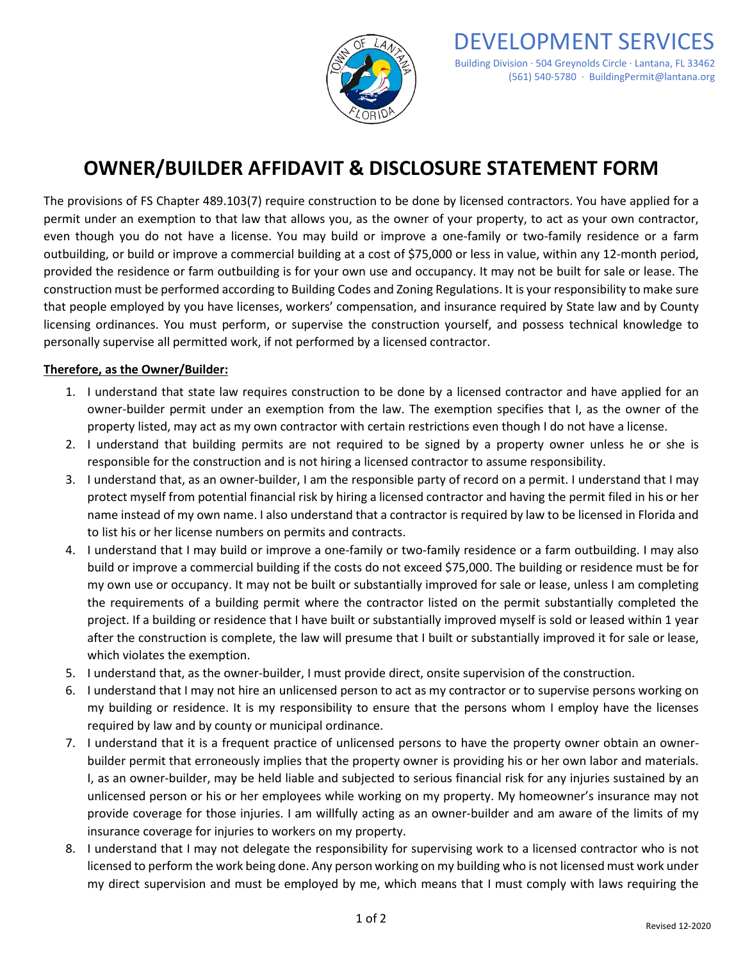

## **OWNER/BUILDER AFFIDAVIT & DISCLOSURE STATEMENT FORM**

 even though you do not have a license. You may build or improve a one-family or two-family residence or a farm outbuilding, or build or improve a commercial building at a cost of \$75,000 or less in value, within any 12-month period, provided the residence or farm outbuilding is for your own use and occupancy. It may not be built for sale or lease. The construction must be performed according to Building Codes and Zoning Regulations. It is your responsibility to make sure that people employed by you have licenses, workers' compensation, and insurance required by State law and by County licensing ordinances. You must perform, or supervise the construction yourself, and possess technical knowledge to The provisions of FS Chapter 489.103(7) require construction to be done by licensed contractors. You have applied for a permit under an exemption to that law that allows you, as the owner of your property, to act as your own contractor, personally supervise all permitted work, if not performed by a licensed contractor.

## **Therefore, as the Owner/Builder:**

- 1. I understand that state law requires construction to be done by a licensed contractor and have applied for an owner-builder permit under an exemption from the law. The exemption specifies that I, as the owner of the property listed, may act as my own contractor with certain restrictions even though I do not have a license.
- 2. I understand that building permits are not required to be signed by a property owner unless he or she is responsible for the construction and is not hiring a licensed contractor to assume responsibility.
- 3. I understand that, as an owner-builder, I am the responsible party of record on a permit. I understand that I may name instead of my own name. I also understand that a contractor is required by law to be licensed in Florida and protect myself from potential financial risk by hiring a licensed contractor and having the permit filed in his or her to list his or her license numbers on permits and contracts.
- build or improve a commercial building if the costs do not exceed \$75,000. The building or residence must be for my own use or occupancy. It may not be built or substantially improved for sale or lease, unless I am completing after the construction is complete, the law will presume that I built or substantially improved it for sale or lease, 4. I understand that I may build or improve a one-family or two-family residence or a farm outbuilding. I may also the requirements of a building permit where the contractor listed on the permit substantially completed the project. If a building or residence that I have built or substantially improved myself is sold or leased within 1 year which violates the exemption.
- 5. I understand that, as the owner-builder, I must provide direct, onsite supervision of the construction.
- 6. I understand that I may not hire an unlicensed person to act as my contractor or to supervise persons working on required by law and by county or municipal ordinance. my building or residence. It is my responsibility to ensure that the persons whom I employ have the licenses
- 7. I understand that it is a frequent practice of unlicensed persons to have the property owner obtain an owner- insurance coverage for injuries to workers on my property. builder permit that erroneously implies that the property owner is providing his or her own labor and materials. I, as an owner-builder, may be held liable and subjected to serious financial risk for any injuries sustained by an unlicensed person or his or her employees while working on my property. My homeowner's insurance may not provide coverage for those injuries. I am willfully acting as an owner-builder and am aware of the limits of my
- licensed to perform the work being done. Any person working on my building who is not licensed must work under my direct supervision and must be employed by me, which means that I must comply with laws requiring the 8. I understand that I may not delegate the responsibility for supervising work to a licensed contractor who is not